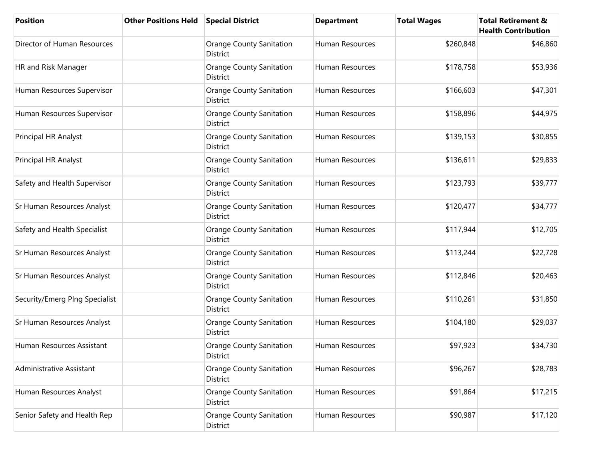| <b>Position</b>                | <b>Other Positions Held</b> | <b>Special District</b>                            | <b>Department</b> | <b>Total Wages</b> | <b>Total Retirement &amp;</b><br><b>Health Contribution</b> |
|--------------------------------|-----------------------------|----------------------------------------------------|-------------------|--------------------|-------------------------------------------------------------|
| Director of Human Resources    |                             | <b>Orange County Sanitation</b><br>District        | Human Resources   | \$260,848          | \$46,860                                                    |
| HR and Risk Manager            |                             | <b>Orange County Sanitation</b><br>District        | Human Resources   | \$178,758          | \$53,936                                                    |
| Human Resources Supervisor     |                             | <b>Orange County Sanitation</b><br>District        | Human Resources   | \$166,603          | \$47,301                                                    |
| Human Resources Supervisor     |                             | <b>Orange County Sanitation</b><br>District        | Human Resources   | \$158,896          | \$44,975                                                    |
| Principal HR Analyst           |                             | <b>Orange County Sanitation</b><br><b>District</b> | Human Resources   | \$139,153          | \$30,855                                                    |
| Principal HR Analyst           |                             | <b>Orange County Sanitation</b><br><b>District</b> | Human Resources   | \$136,611          | \$29,833                                                    |
| Safety and Health Supervisor   |                             | <b>Orange County Sanitation</b><br><b>District</b> | Human Resources   | \$123,793          | \$39,777                                                    |
| Sr Human Resources Analyst     |                             | <b>Orange County Sanitation</b><br>District        | Human Resources   | \$120,477          | \$34,777                                                    |
| Safety and Health Specialist   |                             | <b>Orange County Sanitation</b><br>District        | Human Resources   | \$117,944          | \$12,705                                                    |
| Sr Human Resources Analyst     |                             | <b>Orange County Sanitation</b><br>District        | Human Resources   | \$113,244          | \$22,728                                                    |
| Sr Human Resources Analyst     |                             | Orange County Sanitation<br>District               | Human Resources   | \$112,846          | \$20,463                                                    |
| Security/Emerg Plng Specialist |                             | <b>Orange County Sanitation</b><br>District        | Human Resources   | \$110,261          | \$31,850                                                    |
| Sr Human Resources Analyst     |                             | <b>Orange County Sanitation</b><br><b>District</b> | Human Resources   | \$104,180          | \$29,037                                                    |
| Human Resources Assistant      |                             | <b>Orange County Sanitation</b><br>District        | Human Resources   | \$97,923           | \$34,730                                                    |
| Administrative Assistant       |                             | <b>Orange County Sanitation</b><br>District        | Human Resources   | \$96,267           | \$28,783                                                    |
| Human Resources Analyst        |                             | <b>Orange County Sanitation</b><br>District        | Human Resources   | \$91,864           | \$17,215                                                    |
| Senior Safety and Health Rep   |                             | <b>Orange County Sanitation</b><br><b>District</b> | Human Resources   | \$90,987           | \$17,120                                                    |